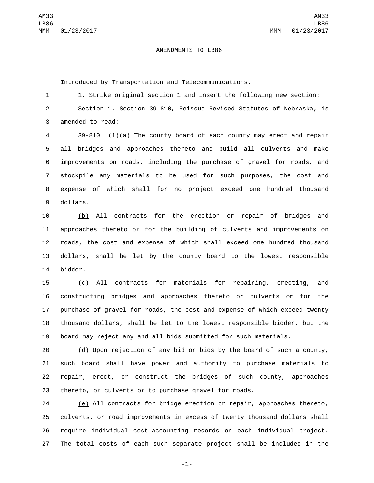## AMENDMENTS TO LB86

Introduced by Transportation and Telecommunications.

1 1. Strike original section 1 and insert the following new section: Section 1. Section 39-810, Reissue Revised Statutes of Nebraska, is 3 amended to read:

 39-810 (1)(a) The county board of each county may erect and repair all bridges and approaches thereto and build all culverts and make improvements on roads, including the purchase of gravel for roads, and stockpile any materials to be used for such purposes, the cost and expense of which shall for no project exceed one hundred thousand 9 dollars.

 (b) All contracts for the erection or repair of bridges and approaches thereto or for the building of culverts and improvements on roads, the cost and expense of which shall exceed one hundred thousand dollars, shall be let by the county board to the lowest responsible 14 bidder.

 (c) All contracts for materials for repairing, erecting, and constructing bridges and approaches thereto or culverts or for the purchase of gravel for roads, the cost and expense of which exceed twenty thousand dollars, shall be let to the lowest responsible bidder, but the board may reject any and all bids submitted for such materials.

 (d) Upon rejection of any bid or bids by the board of such a county, such board shall have power and authority to purchase materials to repair, erect, or construct the bridges of such county, approaches thereto, or culverts or to purchase gravel for roads.

 (e) All contracts for bridge erection or repair, approaches thereto, culverts, or road improvements in excess of twenty thousand dollars shall require individual cost-accounting records on each individual project. The total costs of each such separate project shall be included in the

-1-